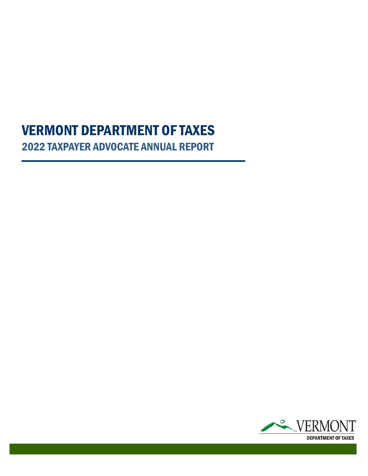# 2022 TAXPAYER ADVOCATE ANNUAL REPORT VERMONT DEPARTMENT OF TAXES

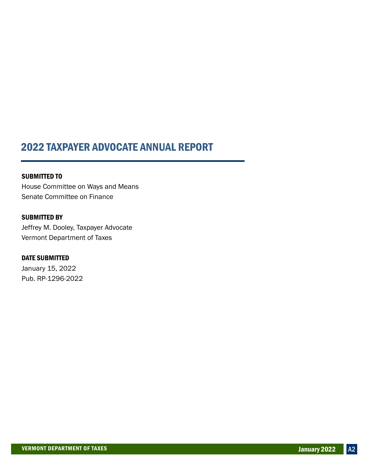### 2022 TAXPAYER ADVOCATE ANNUAL REPORT

SUBMITTED TO House Committee on Ways and Means Senate Committee on Finance

SUBMITTED BY Jeffrey M. Dooley, Taxpayer Advocate Vermont Department of Taxes

DATE SUBMITTED January 15, 2022 Pub. RP-1296-2022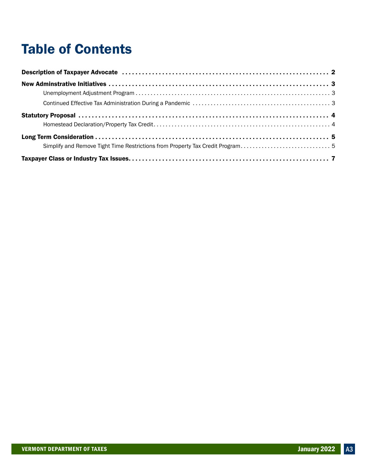# Table of Contents

| Simplify and Remove Tight Time Restrictions from Property Tax Credit Program5 |  |
|-------------------------------------------------------------------------------|--|
|                                                                               |  |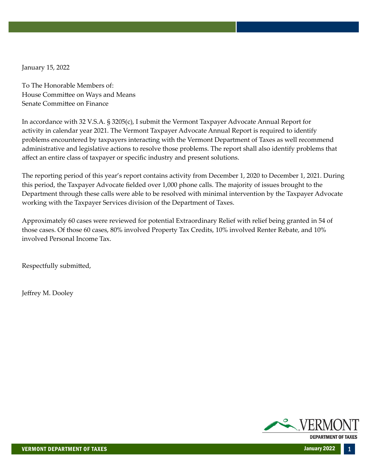January 15, 2022

To The Honorable Members of: House Committee on Ways and Means Senate Committee on Finance

In accordance with 32 V.S.A. § 3205(c), I submit the Vermont Taxpayer Advocate Annual Report for activity in calendar year 2021. The Vermont Taxpayer Advocate Annual Report is required to identify problems encountered by taxpayers interacting with the Vermont Department of Taxes as well recommend administrative and legislative actions to resolve those problems. The report shall also identify problems that affect an entire class of taxpayer or specific industry and present solutions.

The reporting period of this year's report contains activity from December 1, 2020 to December 1, 2021. During this period, the Taxpayer Advocate fielded over 1,000 phone calls. The majority of issues brought to the Department through these calls were able to be resolved with minimal intervention by the Taxpayer Advocate working with the Taxpayer Services division of the Department of Taxes.

Approximately 60 cases were reviewed for potential Extraordinary Relief with relief being granted in 54 of those cases. Of those 60 cases, 80% involved Property Tax Credits, 10% involved Renter Rebate, and 10% involved Personal Income Tax.

Respectfully submitted,

Jeffrey M. Dooley

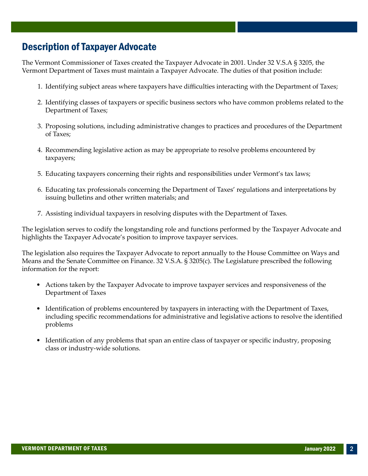### <span id="page-4-0"></span>Description of Taxpayer Advocate

The Vermont Commissioner of Taxes created the Taxpayer Advocate in 2001. Under 32 V.S.A § 3205, the Vermont Department of Taxes must maintain a Taxpayer Advocate. The duties of that position include:

- 1. Identifying subject areas where taxpayers have difficulties interacting with the Department of Taxes;
- 2. Identifying classes of taxpayers or specific business sectors who have common problems related to the Department of Taxes;
- 3. Proposing solutions, including administrative changes to practices and procedures of the Department of Taxes;
- 4. Recommending legislative action as may be appropriate to resolve problems encountered by taxpayers;
- 5. Educating taxpayers concerning their rights and responsibilities under Vermont's tax laws;
- 6. Educating tax professionals concerning the Department of Taxes' regulations and interpretations by issuing bulletins and other written materials; and
- 7. Assisting individual taxpayers in resolving disputes with the Department of Taxes.

The legislation serves to codify the longstanding role and functions performed by the Taxpayer Advocate and highlights the Taxpayer Advocate's position to improve taxpayer services.

The legislation also requires the Taxpayer Advocate to report annually to the House Committee on Ways and Means and the Senate Committee on Finance. 32 V.S.A. § 3205(c). The Legislature prescribed the following information for the report:

- Actions taken by the Taxpayer Advocate to improve taxpayer services and responsiveness of the Department of Taxes
- Identification of problems encountered by taxpayers in interacting with the Department of Taxes, including specific recommendations for administrative and legislative actions to resolve the identified problems
- Identification of any problems that span an entire class of taxpayer or specific industry, proposing class or industry‐wide solutions.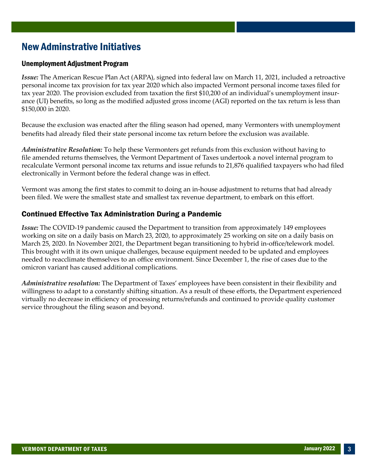### <span id="page-5-0"></span>New Adminstrative Initiatives

#### Unemployment Adjustment Program

*Issue:* The American Rescue Plan Act (ARPA), signed into federal law on March 11, 2021, included a retroactive personal income tax provision for tax year 2020 which also impacted Vermont personal income taxes filed for tax year 2020. The provision excluded from taxation the first \$10,200 of an individual's unemployment insur‐ ance (UI) benefits, so long as the modified adjusted gross income (AGI) reported on the tax return is less than \$150,000 in 2020.

Because the exclusion was enacted after the filing season had opened, many Vermonters with unemployment benefits had already filed their state personal income tax return before the exclusion was available.

*Administrative Resolution:* To help these Vermonters get refunds from this exclusion without having to file amended returns themselves, the Vermont Department of Taxes undertook a novel internal program to recalculate Vermont personal income tax returns and issue refunds to 21,876 qualified taxpayers who had filed electronically in Vermont before the federal change was in effect.

Vermont was among the first states to commit to doing an in-house adjustment to returns that had already been filed. We were the smallest state and smallest tax revenue department, to embark on this effort.

#### Continued Effective Tax Administration During a Pandemic

*Issue:* The COVID-19 pandemic caused the Department to transition from approximately 149 employees working on site on a daily basis on March 23, 2020, to approximately 25 working on site on a daily basis on March 25, 2020. In November 2021, the Department began transitioning to hybrid in-office/telework model. This brought with it its own unique challenges, because equipment needed to be updated and employees needed to reacclimate themselves to an office environment. Since December 1, the rise of cases due to the omicron variant has caused additional complications.

*Administrative resolution:* The Department of Taxes' employees have been consistent in their flexibility and willingness to adapt to a constantly shifting situation. As a result of these efforts, the Department experienced virtually no decrease in efficiency of processing returns/refunds and continued to provide quality customer service throughout the filing season and beyond.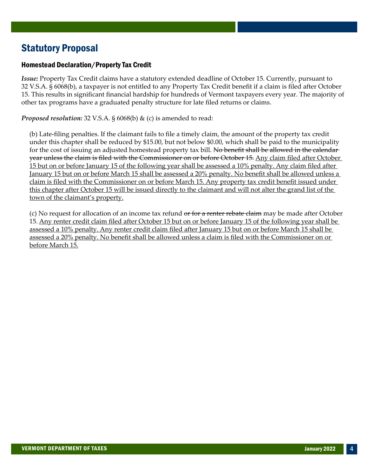### <span id="page-6-0"></span>Statutory Proposal

#### Homestead Declaration/Property Tax Credit

*Issue:* Property Tax Credit claims have a statutory extended deadline of October 15. Currently, pursuant to 32 V.S.A. § 6068(b), a taxpayer is not entitled to any Property Tax Credit benefit if a claim is filed after October 15. This results in significant financial hardship for hundreds of Vermont taxpayers every year. The majority of other tax programs have a graduated penalty structure for late filed returns or claims.

*Proposed resolution:* 32 V.S.A. § 6068(b) & (c) is amended to read:

(b) Late-filing penalties. If the claimant fails to file a timely claim, the amount of the property tax credit under this chapter shall be reduced by \$15.00, but not below \$0.00, which shall be paid to the municipality for the cost of issuing an adjusted homestead property tax bill. No benefit shall be allowed in the calendaryear unless the claim is filed with the Commissioner on or before October 15. Any claim filed after October 15 but on or before January 15 of the following year shall be assessed a 10% penalty. Any claim filed after January 15 but on or before March 15 shall be assessed a 20% penalty. No benefit shall be allowed unless a claim is filed with the Commissioner on or before March 15. Any property tax credit benefit issued under this chapter after October 15 will be issued directly to the claimant and will not alter the grand list of the town of the claimant's property.

(c) No request for allocation of an income tax refund <del>or for a renter rebate claim</del> may be made after October 15. Any renter credit claim filed after October 15 but on or before January 15 of the following year shall be assessed a 10% penalty. Any renter credit claim filed after January 15 but on or before March 15 shall be assessed a 20% penalty. No benefit shall be allowed unless a claim is filed with the Commissioner on or before March 15.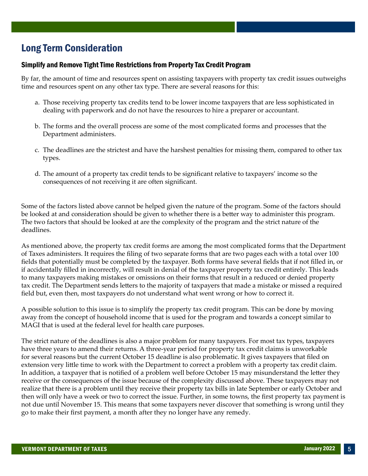### <span id="page-7-0"></span>Long Term Consideration

#### Simplify and Remove Tight Time Restrictions from Property Tax Credit Program

By far, the amount of time and resources spent on assisting taxpayers with property tax credit issues outweighs time and resources spent on any other tax type. There are several reasons for this:

- a. Those receiving property tax credits tend to be lower income taxpayers that are less sophisticated in dealing with paperwork and do not have the resources to hire a preparer or accountant.
- b. The forms and the overall process are some of the most complicated forms and processes that the Department administers.
- c. The deadlines are the strictest and have the harshest penalties for missing them, compared to other tax types.
- d. The amount of a property tax credit tends to be significant relative to taxpayers' income so the consequences of not receiving it are often significant.

Some of the factors listed above cannot be helped given the nature of the program. Some of the factors should be looked at and consideration should be given to whether there is a better way to administer this program. The two factors that should be looked at are the complexity of the program and the strict nature of the deadlines.

As mentioned above, the property tax credit forms are among the most complicated forms that the Department of Taxes administers. It requires the filing of two separate forms that are two pages each with a total over 100 fields that potentially must be completed by the taxpayer. Both forms have several fields that if not filled in, or if accidentally filled in incorrectly, will result in denial of the taxpayer property tax credit entirely. This leads to many taxpayers making mistakes or omissions on their forms that result in a reduced or denied property tax credit. The Department sends letters to the majority of taxpayers that made a mistake or missed a required field but, even then, most taxpayers do not understand what went wrong or how to correct it.

A possible solution to this issue is to simplify the property tax credit program. This can be done by moving away from the concept of household income that is used for the program and towards a concept similar to MAGI that is used at the federal level for health care purposes.

The strict nature of the deadlines is also a major problem for many taxpayers. For most tax types, taxpayers have three years to amend their returns. A three-year period for property tax credit claims is unworkable for several reasons but the current October 15 deadline is also problematic. It gives taxpayers that filed on extension very little time to work with the Department to correct a problem with a property tax credit claim. In addition, a taxpayer that is notified of a problem well before October 15 may misunderstand the letter they receive or the consequences of the issue because of the complexity discussed above. These taxpayers may not realize that there is a problem until they receive their property tax bills in late September or early October and then will only have a week or two to correct the issue. Further, in some towns, the first property tax payment is not due until November 15. This means that some taxpayers never discover that something is wrong until they go to make their first payment, a month after they no longer have any remedy.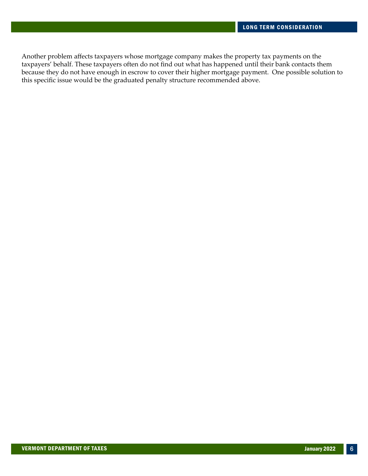Another problem affects taxpayers whose mortgage company makes the property tax payments on the taxpayers' behalf. These taxpayers often do not find out what has happened until their bank contacts them because they do not have enough in escrow to cover their higher mortgage payment. One possible solution to this specific issue would be the graduated penalty structure recommended above.